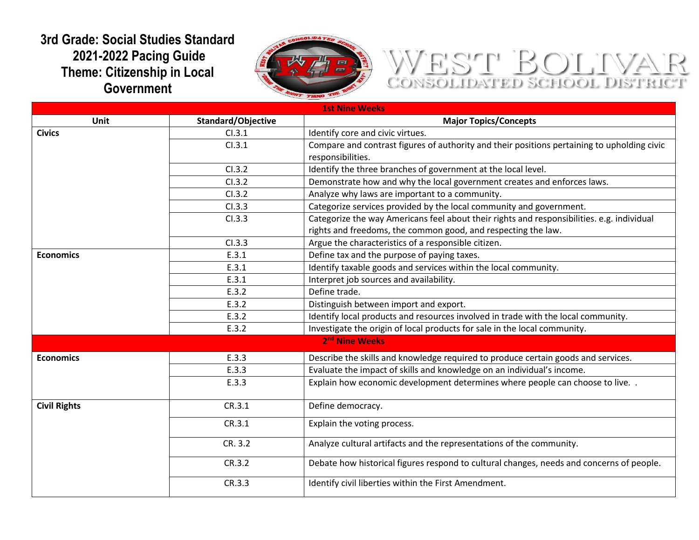## **3rd Grade: Social Studies Standard 2021-2022 Pacing Guide Theme: Citizenship in Local Government**



## WEST BOLTVAR

| <b>1st Nine Weeks</b> |                    |                                                                                             |  |
|-----------------------|--------------------|---------------------------------------------------------------------------------------------|--|
| <b>Unit</b>           | Standard/Objective | <b>Major Topics/Concepts</b>                                                                |  |
| <b>Civics</b>         | Cl.3.1             | Identify core and civic virtues.                                                            |  |
|                       | Cl.3.1             | Compare and contrast figures of authority and their positions pertaining to upholding civic |  |
|                       |                    | responsibilities.                                                                           |  |
|                       | CI.3.2             | Identify the three branches of government at the local level.                               |  |
|                       | CI.3.2             | Demonstrate how and why the local government creates and enforces laws.                     |  |
|                       | CI.3.2             | Analyze why laws are important to a community.                                              |  |
|                       | CI.3.3             | Categorize services provided by the local community and government.                         |  |
|                       | CI.3.3             | Categorize the way Americans feel about their rights and responsibilities. e.g. individual  |  |
|                       |                    | rights and freedoms, the common good, and respecting the law.                               |  |
|                       | CI.3.3             | Argue the characteristics of a responsible citizen.                                         |  |
| <b>Economics</b>      | E.3.1              | Define tax and the purpose of paying taxes.                                                 |  |
|                       | E.3.1              | Identify taxable goods and services within the local community.                             |  |
|                       | E.3.1              | Interpret job sources and availability.                                                     |  |
|                       | E.3.2              | Define trade.                                                                               |  |
|                       | E.3.2              | Distinguish between import and export.                                                      |  |
|                       | E.3.2              | Identify local products and resources involved in trade with the local community.           |  |
|                       | E.3.2              | Investigate the origin of local products for sale in the local community.                   |  |
|                       |                    | 2 <sup>nd</sup> Nine Weeks                                                                  |  |
| <b>Economics</b>      | E.3.3              | Describe the skills and knowledge required to produce certain goods and services.           |  |
|                       | E.3.3              | Evaluate the impact of skills and knowledge on an individual's income.                      |  |
|                       | E.3.3              | Explain how economic development determines where people can choose to live. .              |  |
| <b>Civil Rights</b>   | CR.3.1             | Define democracy.                                                                           |  |
|                       | CR.3.1             | Explain the voting process.                                                                 |  |
|                       | CR. 3.2            | Analyze cultural artifacts and the representations of the community.                        |  |
|                       | CR.3.2             | Debate how historical figures respond to cultural changes, needs and concerns of people.    |  |
|                       | CR.3.3             | Identify civil liberties within the First Amendment.                                        |  |